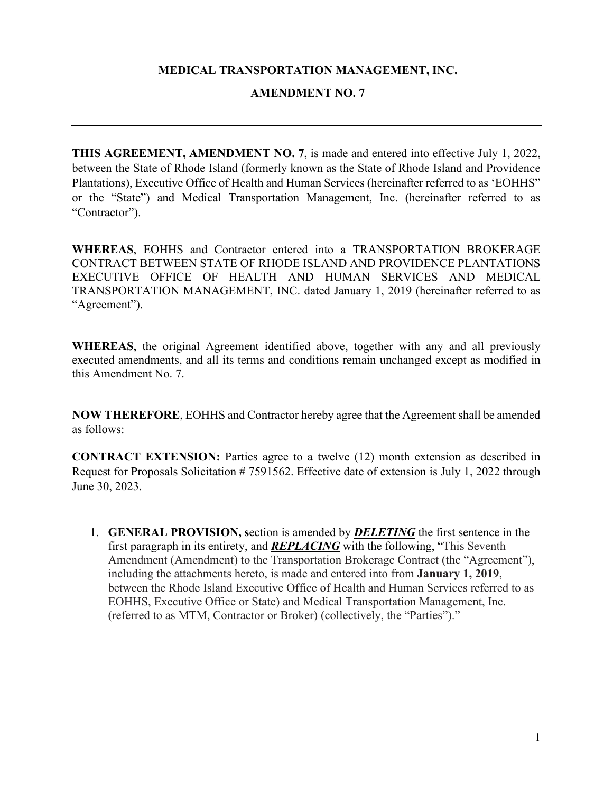#### **MEDICAL TRANSPORTATION MANAGEMENT, INC.**

#### **AMENDMENT NO. 7**

**THIS AGREEMENT, AMENDMENT NO. 7**, is made and entered into effective July 1, 2022, between the State of Rhode Island (formerly known as the State of Rhode Island and Providence Plantations), Executive Office of Health and Human Services (hereinafter referred to as 'EOHHS" or the "State") and Medical Transportation Management, Inc. (hereinafter referred to as "Contractor").

**WHEREAS**, EOHHS and Contractor entered into a TRANSPORTATION BROKERAGE CONTRACT BETWEEN STATE OF RHODE ISLAND AND PROVIDENCE PLANTATIONS EXECUTIVE OFFICE OF HEALTH AND HUMAN SERVICES AND MEDICAL TRANSPORTATION MANAGEMENT, INC. dated January 1, 2019 (hereinafter referred to as "Agreement").

**WHEREAS**, the original Agreement identified above, together with any and all previously executed amendments, and all its terms and conditions remain unchanged except as modified in this Amendment No. 7.

**NOW THEREFORE**, EOHHS and Contractor hereby agree that the Agreement shall be amended as follows:

**CONTRACT EXTENSION:** Parties agree to a twelve (12) month extension as described in Request for Proposals Solicitation # 7591562. Effective date of extension is July 1, 2022 through June 30, 2023.

1. **GENERAL PROVISION, s**ection is amended by *DELETING* the first sentence in the first paragraph in its entirety, and *REPLACING* with the following, "This Seventh Amendment (Amendment) to the Transportation Brokerage Contract (the "Agreement"), including the attachments hereto, is made and entered into from **January 1, 2019**, between the Rhode Island Executive Office of Health and Human Services referred to as EOHHS, Executive Office or State) and Medical Transportation Management, Inc. (referred to as MTM, Contractor or Broker) (collectively, the "Parties")."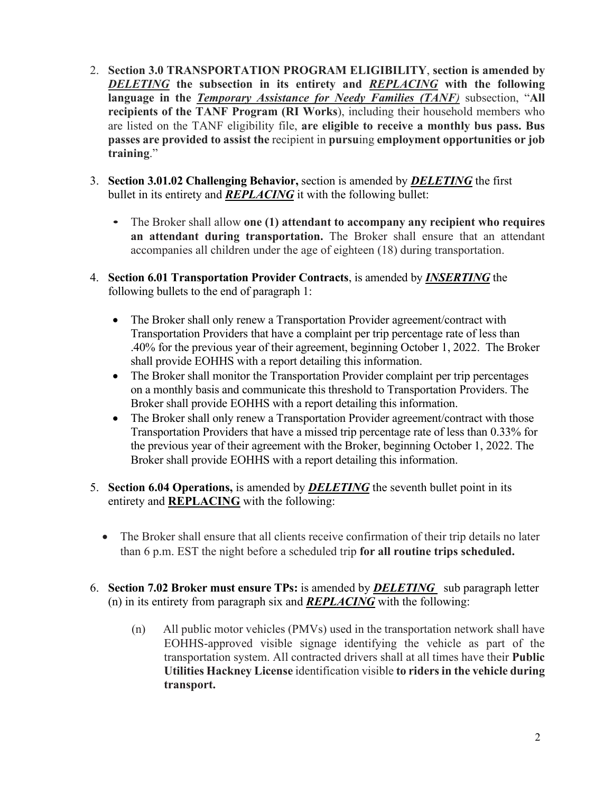- 2. **Section 3.0 TRANSPORTATION PROGRAM ELIGIBILITY**, **section is amended by**  *DELETING* **the subsection in its entirety and** *REPLACING* **with the following language in the** *Temporary Assistance for Needy Families (TANF)* subsection, "**All recipients of the TANF Program (RI Works**), including their household members who are listed on the TANF eligibility file, **are eligible to receive a monthly bus pass. Bus passes are provided to assist the** recipient in **pursu**ing **employment opportunities or job training**."
- 3. **Section 3.01.02 Challenging Behavior,** section is amended by *DELETING* the first bullet in its entirety and *REPLACING* it with the following bullet:
	- The Broker shall allow **one (1) attendant to accompany any recipient who requires an attendant during transportation.** The Broker shall ensure that an attendant accompanies all children under the age of eighteen (18) during transportation.
- 4. **Section 6.01 Transportation Provider Contracts**, is amended by *INSERTING* the following bullets to the end of paragraph 1:
	- The Broker shall only renew a Transportation Provider agreement/contract with Transportation Providers that have a complaint per trip percentage rate of less than .40% for the previous year of their agreement, beginning October 1, 2022. The Broker shall provide EOHHS with a report detailing this information.
	- The Broker shall monitor the Transportation Provider complaint per trip percentages on a monthly basis and communicate this threshold to Transportation Providers. The Broker shall provide EOHHS with a report detailing this information.
	- The Broker shall only renew a Transportation Provider agreement/contract with those Transportation Providers that have a missed trip percentage rate of less than 0.33% for the previous year of their agreement with the Broker, beginning October 1, 2022. The Broker shall provide EOHHS with a report detailing this information.
- 5. **Section 6.04 Operations,** is amended by *DELETING* the seventh bullet point in its entirety and **REPLACING** with the following:
	- The Broker shall ensure that all clients receive confirmation of their trip details no later than 6 p.m. EST the night before a scheduled trip **for all routine trips scheduled.**
- 6. **Section 7.02 Broker must ensure TPs:** is amended by *DELETING* sub paragraph letter (n) in its entirety from paragraph six and *REPLACING* with the following:
	- (n) All public motor vehicles (PMVs) used in the transportation network shall have EOHHS-approved visible signage identifying the vehicle as part of the transportation system. All contracted drivers shall at all times have their **Public Utilities Hackney License** identification visible **to riders in the vehicle during transport.**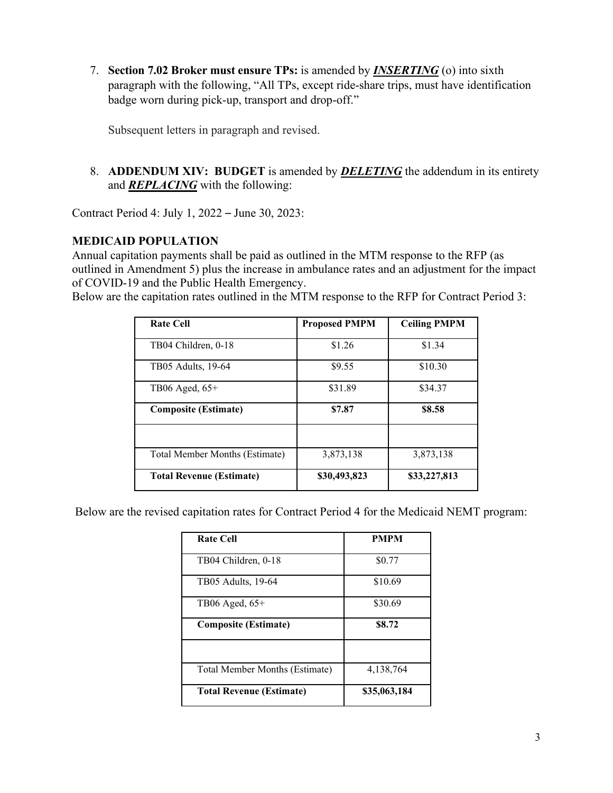7. **Section 7.02 Broker must ensure TPs:** is amended by *INSERTING* (o) into sixth paragraph with the following, "All TPs, except ride-share trips, must have identification badge worn during pick-up, transport and drop-off."

Subsequent letters in paragraph and revised.

8. **ADDENDUM XIV: BUDGET** is amended by *DELETING* the addendum in its entirety and *REPLACING* with the following:

Contract Period 4: July 1, 2022 – June 30, 2023:

#### **MEDICAID POPULATION**

Annual capitation payments shall be paid as outlined in the MTM response to the RFP (as outlined in Amendment 5) plus the increase in ambulance rates and an adjustment for the impact of COVID-19 and the Public Health Emergency.

Below are the capitation rates outlined in the MTM response to the RFP for Contract Period 3:

| <b>Rate Cell</b>                | <b>Proposed PMPM</b> | <b>Ceiling PMPM</b> |
|---------------------------------|----------------------|---------------------|
| TB04 Children, 0-18             | \$1.26               | \$1.34              |
| TB05 Adults, 19-64              | \$9.55               | \$10.30             |
| TB06 Aged, $65+$                | \$31.89              | \$34.37             |
| <b>Composite (Estimate)</b>     | \$7.87               | \$8.58              |
| Total Member Months (Estimate)  | 3,873,138            | 3,873,138           |
| <b>Total Revenue (Estimate)</b> | \$30,493,823         | \$33,227,813        |

Below are the revised capitation rates for Contract Period 4 for the Medicaid NEMT program:

| <b>Rate Cell</b>                | <b>PMPM</b>  |  |  |
|---------------------------------|--------------|--|--|
| TB04 Children, 0-18             | \$0.77       |  |  |
| TB05 Adults, 19-64              | \$10.69      |  |  |
| TB06 Aged, $65+$                | \$30.69      |  |  |
| <b>Composite (Estimate)</b>     | \$8.72       |  |  |
|                                 |              |  |  |
| Total Member Months (Estimate)  | 4,138,764    |  |  |
| <b>Total Revenue (Estimate)</b> | \$35,063,184 |  |  |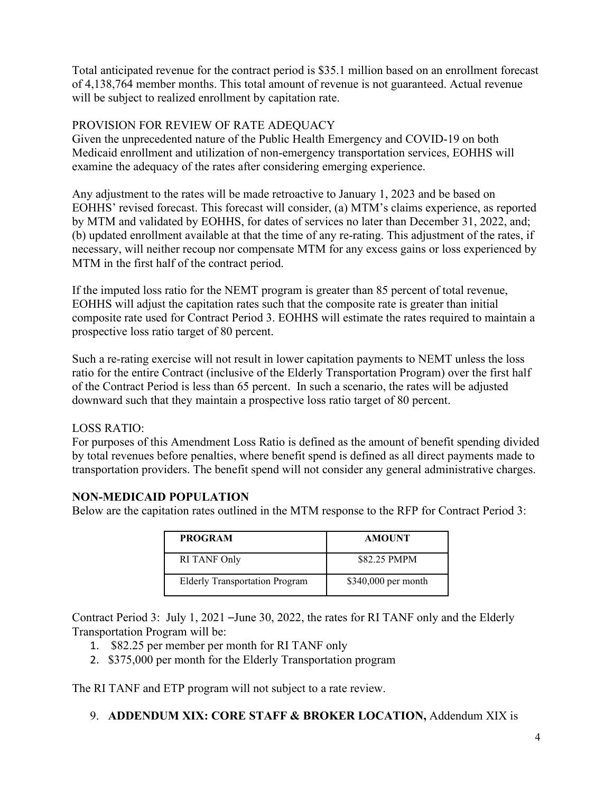Total anticipated revenue for the contract period is \$35.1 million based on an enrollment forecast of 4,138,764 member months. This total amount of revenue is not guaranteed. Actual revenue will be subject to realized enrollment by capitation rate.

### PROVISION FOR REVIEW OF RATE ADEQUACY

Given the unprecedented nature of the Public Health Emergency and COVID-19 on both Medicaid enrollment and utilization of non-emergency transportation services, EOHHS will examine the adequacy of the rates after considering emerging experience.

Any adjustment to the rates will be made retroactive to January 1, 2023 and be based on EOHHS' revised forecast. This forecast will consider, (a) MTM's claims experience, as reported by MTM and validated by EOHHS, for dates of services no later than December 31, 2022, and; (b) updated enrollment available at that the time of any re-rating. This adjustment of the rates, if necessary, will neither recoup nor compensate MTM for any excess gains or loss experienced by MTM in the first half of the contract period.

If the imputed loss ratio for the NEMT program is greater than 85 percent of total revenue, EOHHS will adjust the capitation rates such that the composite rate is greater than initial composite rate used for Contract Period 3. EOHHS will estimate the rates required to maintain a prospective loss ratio target of 80 percent.

Such a re-rating exercise will not result in lower capitation payments to NEMT unless the loss ratio for the entire Contract (inclusive of the Elderly Transportation Program) over the first half of the Contract Period is less than 65 percent. In such a scenario, the rates will be adjusted downward such that they maintain a prospective loss ratio target of 80 percent.

LOSS RATIO:

For purposes of this Amendment Loss Ratio is defined as the amount of benefit spending divided by total revenues before penalties, where benefit spend is defined as all direct payments made to transportation providers. The benefit spend will not consider any general administrative charges.

# **NON-MEDICAID POPULATION**

Below are the capitation rates outlined in the MTM response to the RFP for Contract Period 3:

| <b>PROGRAM</b>                        | <b>AMOUNT</b>        |
|---------------------------------------|----------------------|
| RI TANF Only                          | \$82.25 PMPM         |
| <b>Elderly Transportation Program</b> | $$340,000$ per month |

Contract Period 3: July 1, 2021 –June 30, 2022, the rates for RI TANF only and the Elderly Transportation Program will be:

- 1. \$82.25 per member per month for RI TANF only
- 2. \$375,000 per month for the Elderly Transportation program

The RI TANF and ETP program will not subject to a rate review.

# 9. **ADDENDUM XIX: CORE STAFF & BROKER LOCATION,** Addendum XIX is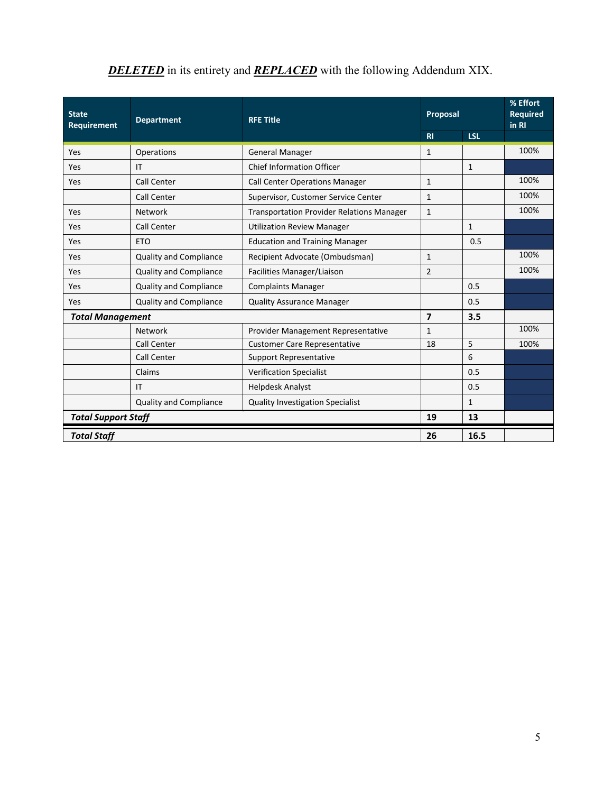| <b>State</b><br><b>Department</b><br><b>Requirement</b> |                               | <b>RFE Title</b>                                 | Proposal       |              | % Effort<br><b>Required</b><br>in RI |
|---------------------------------------------------------|-------------------------------|--------------------------------------------------|----------------|--------------|--------------------------------------|
|                                                         |                               |                                                  | R1             | <b>LSL</b>   |                                      |
| Yes                                                     | Operations                    | <b>General Manager</b>                           | $\mathbf{1}$   |              | 100%                                 |
| Yes                                                     | IT                            | <b>Chief Information Officer</b>                 |                | 1            |                                      |
| Yes                                                     | Call Center                   | <b>Call Center Operations Manager</b>            | $\mathbf{1}$   |              | 100%                                 |
|                                                         | <b>Call Center</b>            | Supervisor, Customer Service Center              | $\mathbf{1}$   |              | 100%                                 |
| Yes                                                     | Network                       | <b>Transportation Provider Relations Manager</b> | $\mathbf{1}$   |              | 100%                                 |
| Yes                                                     | <b>Call Center</b>            | <b>Utilization Review Manager</b>                |                | $\mathbf{1}$ |                                      |
| Yes                                                     | <b>ETO</b>                    | <b>Education and Training Manager</b>            |                | 0.5          |                                      |
| Yes                                                     | <b>Quality and Compliance</b> | Recipient Advocate (Ombudsman)                   | $\mathbf{1}$   |              | 100%                                 |
| Yes                                                     | <b>Quality and Compliance</b> | Facilities Manager/Liaison                       | $\overline{2}$ |              | 100%                                 |
| Yes                                                     | <b>Quality and Compliance</b> | <b>Complaints Manager</b>                        |                | 0.5          |                                      |
| Yes                                                     | <b>Quality and Compliance</b> | <b>Quality Assurance Manager</b>                 |                | 0.5          |                                      |
| <b>Total Management</b>                                 |                               | $\overline{7}$                                   | 3.5            |              |                                      |
|                                                         | Network                       | Provider Management Representative               | $\mathbf{1}$   |              | 100%                                 |
|                                                         | <b>Call Center</b>            | <b>Customer Care Representative</b>              | 18             | 5            | 100%                                 |
|                                                         | Call Center                   | <b>Support Representative</b>                    |                | 6            |                                      |
|                                                         | Claims                        | <b>Verification Specialist</b>                   |                | 0.5          |                                      |
|                                                         | IT                            | <b>Helpdesk Analyst</b>                          |                | 0.5          |                                      |
|                                                         | <b>Quality and Compliance</b> | <b>Quality Investigation Specialist</b>          |                | $\mathbf{1}$ |                                      |
| <b>Total Support Staff</b>                              |                               | 19                                               | 13             |              |                                      |
| <b>Total Staff</b>                                      |                               |                                                  | 26             | 16.5         |                                      |

# **DELETED** in its entirety and **REPLACED** with the following Addendum XIX.